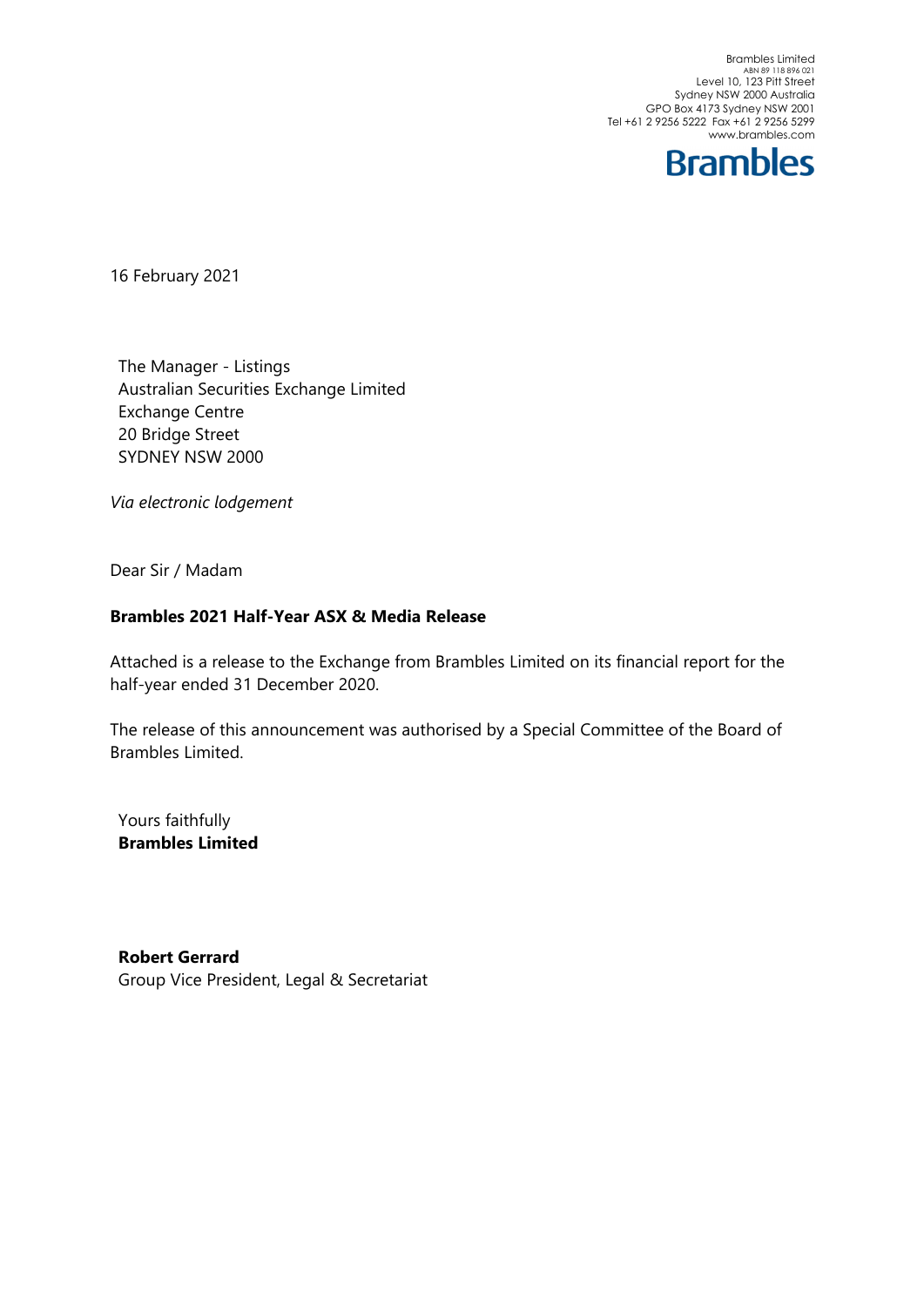Brambles Limited<br>ABN 89 118 896 021<br>Level 10, 123 Pitt Street Sydney NSW 2000 Australia GPO Box 4173 Sydney NSW 2001 Tel +61 2 9256 5222 Fax +61 2 9256 5299 www.brambles.com



16 February 2021

The Manager - Listings Australian Securities Exchange Limited Exchange Centre 20 Bridge Street SYDNEY NSW 2000

*Via electronic lodgement*

Dear Sir / Madam

## **Brambles 2021 Half-Year ASX & Media Release**

Attached is a release to the Exchange from Brambles Limited on its financial report for the half-year ended 31 December 2020.

The release of this announcement was authorised by a Special Committee of the Board of Brambles Limited.

Yours faithfully **Brambles Limited** 

**Robert Gerrard**  Group Vice President, Legal & Secretariat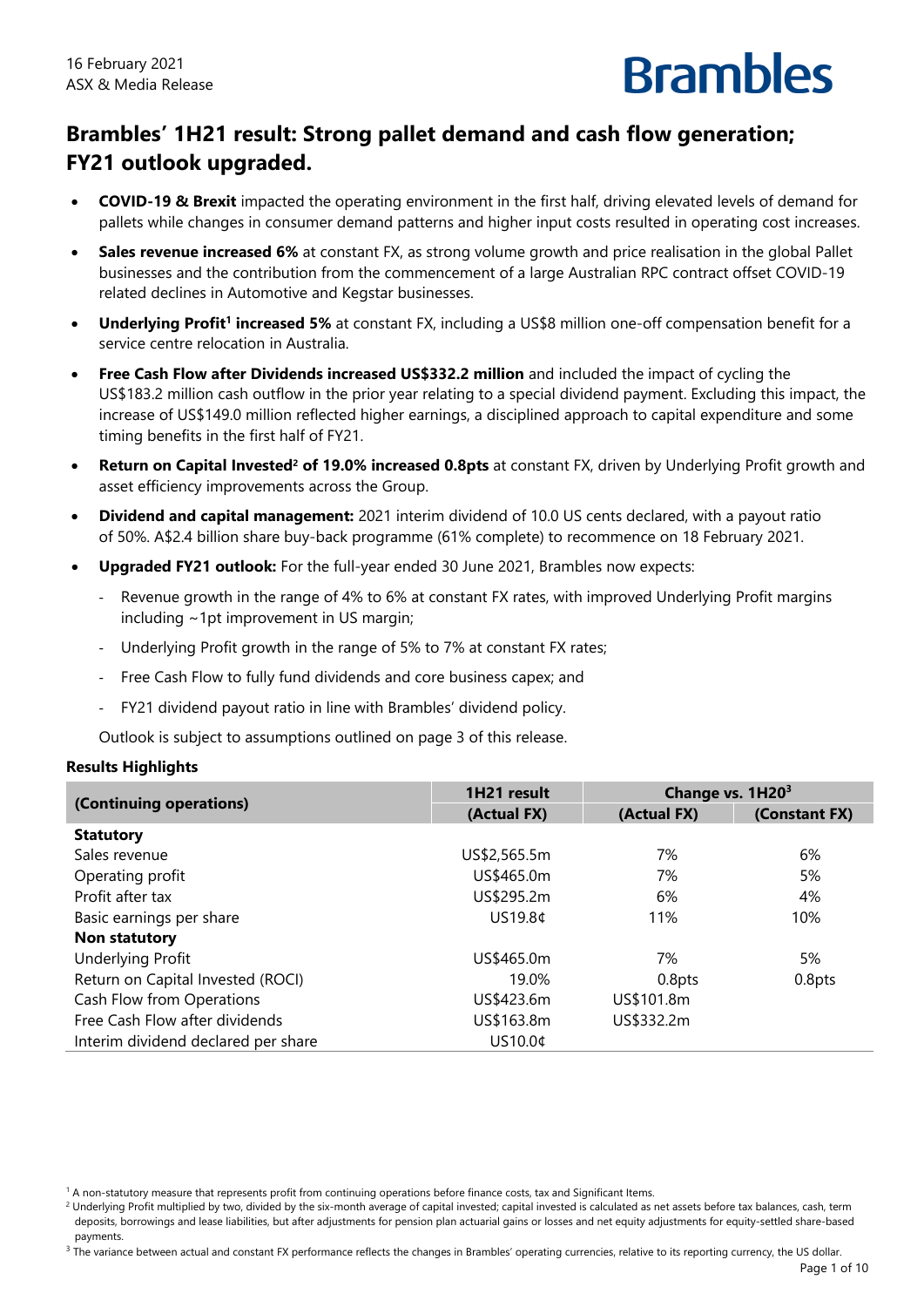

# **Brambles' 1H21 result: Strong pallet demand and cash flow generation; FY21 outlook upgraded.**

- **COVID-19 & Brexit** impacted the operating environment in the first half, driving elevated levels of demand for pallets while changes in consumer demand patterns and higher input costs resulted in operating cost increases.
- **Sales revenue increased 6%** at constant FX, as strong volume growth and price realisation in the global Pallet businesses and the contribution from the commencement of a large Australian RPC contract offset COVID-19 related declines in Automotive and Kegstar businesses.
- **Underlying Profit<sup>1</sup> increased 5%** at constant FX, including a US\$8 million one-off compensation benefit for a service centre relocation in Australia.
- **Free Cash Flow after Dividends increased US\$332.2 million** and included the impact of cycling the US\$183.2 million cash outflow in the prior year relating to a special dividend payment. Excluding this impact, the increase of US\$149.0 million reflected higher earnings, a disciplined approach to capital expenditure and some timing benefits in the first half of FY21.
- **Return on Capital Invested<sup>2</sup> of 19.0% increased 0.8pts at constant FX, driven by Underlying Profit growth and** asset efficiency improvements across the Group.
- **Dividend and capital management:** 2021 interim dividend of 10.0 US cents declared, with a payout ratio of 50%. A\$2.4 billion share buy-back programme (61% complete) to recommence on 18 February 2021.
- **Upgraded FY21 outlook:** For the full-year ended 30 June 2021, Brambles now expects:
	- Revenue growth in the range of 4% to 6% at constant FX rates, with improved Underlying Profit margins including ~1pt improvement in US margin;
	- Underlying Profit growth in the range of 5% to 7% at constant FX rates;
	- ‐ Free Cash Flow to fully fund dividends and core business capex; and
	- ‐ FY21 dividend payout ratio in line with Brambles' dividend policy.

Outlook is subject to assumptions outlined on page 3 of this release.

#### **Results Highlights**

|                                     | 1H21 result  | Change vs. 1H20 <sup>3</sup> |               |  |
|-------------------------------------|--------------|------------------------------|---------------|--|
| (Continuing operations)             | (Actual FX)  | (Actual FX)                  | (Constant FX) |  |
| <b>Statutory</b>                    |              |                              |               |  |
| Sales revenue                       | US\$2,565.5m | 7%                           | 6%            |  |
| Operating profit                    | US\$465.0m   | 7%                           | 5%            |  |
| Profit after tax                    | US\$295.2m   | 6%                           | 4%            |  |
| Basic earnings per share            | US19.8¢      | 11%                          | 10%           |  |
| Non statutory                       |              |                              |               |  |
| Underlying Profit                   | US\$465.0m   | 7%                           | 5%            |  |
| Return on Capital Invested (ROCI)   | 19.0%        | 0.8pts                       | 0.8pts        |  |
| Cash Flow from Operations           | US\$423.6m   | US\$101.8m                   |               |  |
| Free Cash Flow after dividends      | US\$163.8m   | US\$332.2m                   |               |  |
| Interim dividend declared per share | US10.0¢      |                              |               |  |

<sup>1</sup> A non-statutory measure that represents profit from continuing operations before finance costs, tax and Significant Items.

<sup>&</sup>lt;sup>2</sup> Underlying Profit multiplied by two, divided by the six-month average of capital invested; capital invested is calculated as net assets before tax balances, cash, term deposits, borrowings and lease liabilities, but after adjustments for pension plan actuarial gains or losses and net equity adjustments for equity-settled share-based payments.

 $3$  The variance between actual and constant FX performance reflects the changes in Brambles' operating currencies, relative to its reporting currency, the US dollar.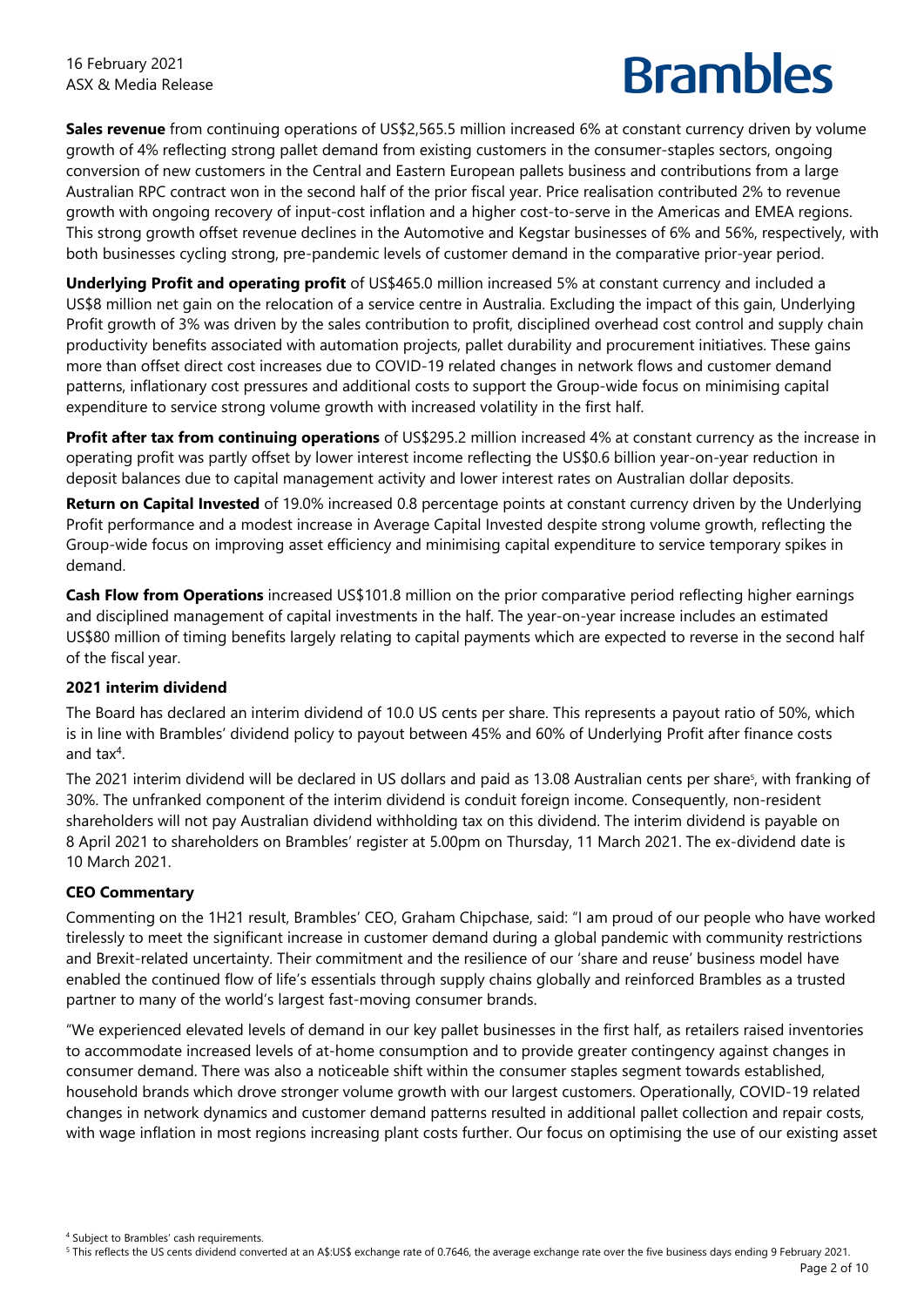**Sales revenue** from continuing operations of US\$2,565.5 million increased 6% at constant currency driven by volume growth of 4% reflecting strong pallet demand from existing customers in the consumer-staples sectors, ongoing conversion of new customers in the Central and Eastern European pallets business and contributions from a large Australian RPC contract won in the second half of the prior fiscal year. Price realisation contributed 2% to revenue growth with ongoing recovery of input-cost inflation and a higher cost-to-serve in the Americas and EMEA regions. This strong growth offset revenue declines in the Automotive and Kegstar businesses of 6% and 56%, respectively, with both businesses cycling strong, pre-pandemic levels of customer demand in the comparative prior-year period.

**Underlying Profit and operating profit** of US\$465.0 million increased 5% at constant currency and included a US\$8 million net gain on the relocation of a service centre in Australia. Excluding the impact of this gain, Underlying Profit growth of 3% was driven by the sales contribution to profit, disciplined overhead cost control and supply chain productivity benefits associated with automation projects, pallet durability and procurement initiatives. These gains more than offset direct cost increases due to COVID-19 related changes in network flows and customer demand patterns, inflationary cost pressures and additional costs to support the Group-wide focus on minimising capital expenditure to service strong volume growth with increased volatility in the first half.

**Profit after tax from continuing operations** of US\$295.2 million increased 4% at constant currency as the increase in operating profit was partly offset by lower interest income reflecting the US\$0.6 billion year-on-year reduction in deposit balances due to capital management activity and lower interest rates on Australian dollar deposits.

**Return on Capital Invested** of 19.0% increased 0.8 percentage points at constant currency driven by the Underlying Profit performance and a modest increase in Average Capital Invested despite strong volume growth, reflecting the Group-wide focus on improving asset efficiency and minimising capital expenditure to service temporary spikes in demand.

**Cash Flow from Operations** increased US\$101.8 million on the prior comparative period reflecting higher earnings and disciplined management of capital investments in the half. The year-on-year increase includes an estimated US\$80 million of timing benefits largely relating to capital payments which are expected to reverse in the second half of the fiscal year.

## **2021 interim dividend**

The Board has declared an interim dividend of 10.0 US cents per share. This represents a payout ratio of 50%, which is in line with Brambles' dividend policy to payout between 45% and 60% of Underlying Profit after finance costs and tax<sup>4</sup>.

The 2021 interim dividend will be declared in US dollars and paid as 13.08 Australian cents per share<sup>s</sup>, with franking of 30%. The unfranked component of the interim dividend is conduit foreign income. Consequently, non-resident shareholders will not pay Australian dividend withholding tax on this dividend. The interim dividend is payable on 8 April 2021 to shareholders on Brambles' register at 5.00pm on Thursday, 11 March 2021. The ex-dividend date is 10 March 2021.

## **CEO Commentary**

Commenting on the 1H21 result, Brambles' CEO, Graham Chipchase, said: "I am proud of our people who have worked tirelessly to meet the significant increase in customer demand during a global pandemic with community restrictions and Brexit-related uncertainty. Their commitment and the resilience of our 'share and reuse' business model have enabled the continued flow of life's essentials through supply chains globally and reinforced Brambles as a trusted partner to many of the world's largest fast-moving consumer brands.

"We experienced elevated levels of demand in our key pallet businesses in the first half, as retailers raised inventories to accommodate increased levels of at-home consumption and to provide greater contingency against changes in consumer demand. There was also a noticeable shift within the consumer staples segment towards established, household brands which drove stronger volume growth with our largest customers. Operationally, COVID-19 related changes in network dynamics and customer demand patterns resulted in additional pallet collection and repair costs, with wage inflation in most regions increasing plant costs further. Our focus on optimising the use of our existing asset

4 Subject to Brambles' cash requirements.

Page 2 of 10 5 This reflects the US cents dividend converted at an A\$:US\$ exchange rate of 0.7646, the average exchange rate over the five business days ending 9 February 2021.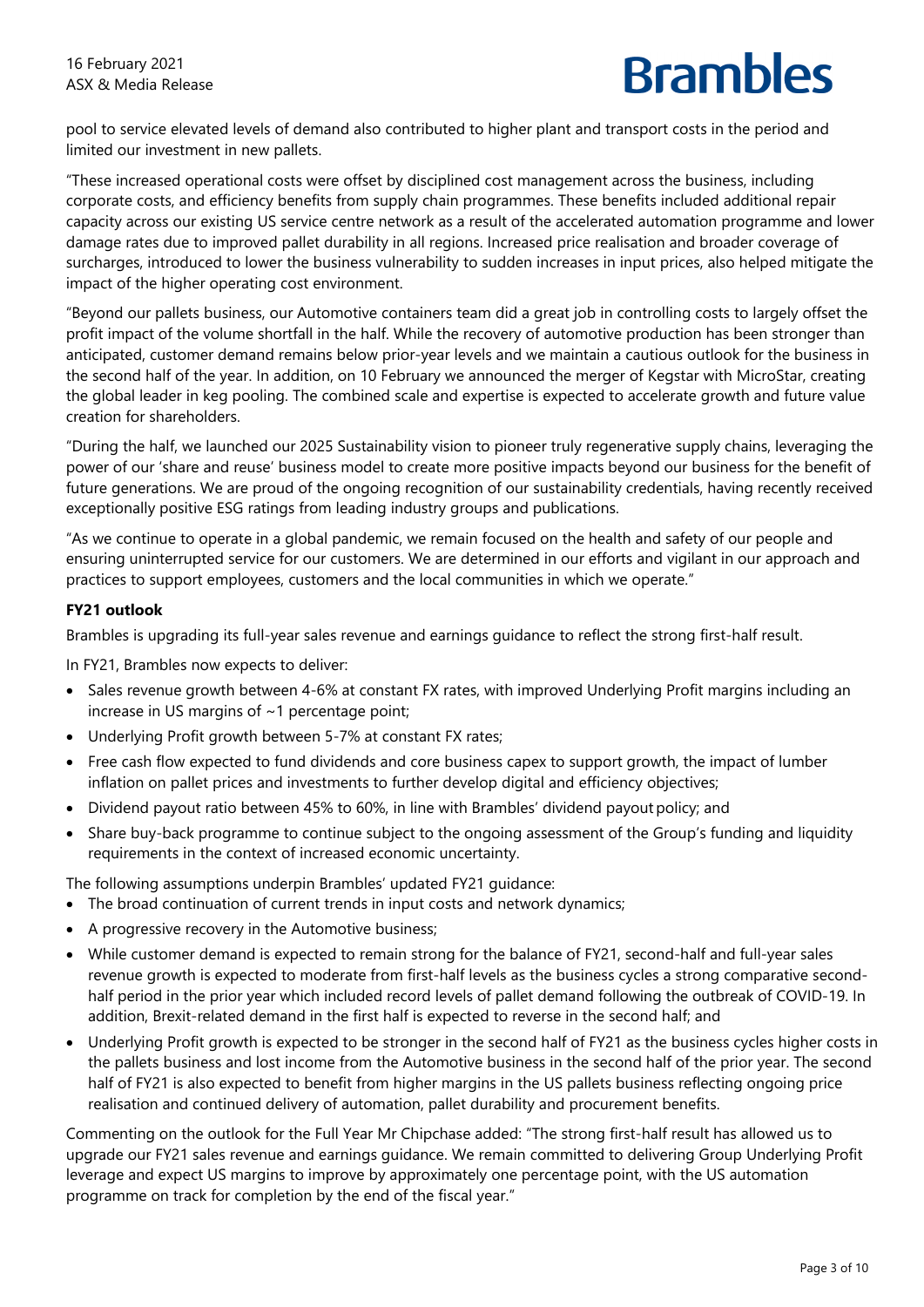pool to service elevated levels of demand also contributed to higher plant and transport costs in the period and limited our investment in new pallets.

"These increased operational costs were offset by disciplined cost management across the business, including corporate costs, and efficiency benefits from supply chain programmes. These benefits included additional repair capacity across our existing US service centre network as a result of the accelerated automation programme and lower damage rates due to improved pallet durability in all regions. Increased price realisation and broader coverage of surcharges, introduced to lower the business vulnerability to sudden increases in input prices, also helped mitigate the impact of the higher operating cost environment.

"Beyond our pallets business, our Automotive containers team did a great job in controlling costs to largely offset the profit impact of the volume shortfall in the half. While the recovery of automotive production has been stronger than anticipated, customer demand remains below prior-year levels and we maintain a cautious outlook for the business in the second half of the year. In addition, on 10 February we announced the merger of Kegstar with MicroStar, creating the global leader in keg pooling. The combined scale and expertise is expected to accelerate growth and future value creation for shareholders.

"During the half, we launched our 2025 Sustainability vision to pioneer truly regenerative supply chains, leveraging the power of our 'share and reuse' business model to create more positive impacts beyond our business for the benefit of future generations. We are proud of the ongoing recognition of our sustainability credentials, having recently received exceptionally positive ESG ratings from leading industry groups and publications.

"As we continue to operate in a global pandemic, we remain focused on the health and safety of our people and ensuring uninterrupted service for our customers. We are determined in our efforts and vigilant in our approach and practices to support employees, customers and the local communities in which we operate."

## **FY21 outlook**

Brambles is upgrading its full-year sales revenue and earnings guidance to reflect the strong first-half result.

In FY21, Brambles now expects to deliver:

- Sales revenue growth between 4-6% at constant FX rates, with improved Underlying Profit margins including an increase in US margins of  $\sim$  1 percentage point;
- Underlying Profit growth between 5-7% at constant FX rates;
- Free cash flow expected to fund dividends and core business capex to support growth, the impact of lumber inflation on pallet prices and investments to further develop digital and efficiency objectives;
- Dividend payout ratio between 45% to 60%, in line with Brambles' dividend payoutpolicy; and
- Share buy-back programme to continue subject to the ongoing assessment of the Group's funding and liquidity requirements in the context of increased economic uncertainty.

The following assumptions underpin Brambles' updated FY21 guidance:

- The broad continuation of current trends in input costs and network dynamics;
- A progressive recovery in the Automotive business;
- While customer demand is expected to remain strong for the balance of FY21, second-half and full-year sales revenue growth is expected to moderate from first-half levels as the business cycles a strong comparative secondhalf period in the prior year which included record levels of pallet demand following the outbreak of COVID-19. In addition, Brexit-related demand in the first half is expected to reverse in the second half; and
- Underlying Profit growth is expected to be stronger in the second half of FY21 as the business cycles higher costs in the pallets business and lost income from the Automotive business in the second half of the prior year. The second half of FY21 is also expected to benefit from higher margins in the US pallets business reflecting ongoing price realisation and continued delivery of automation, pallet durability and procurement benefits.

Commenting on the outlook for the Full Year Mr Chipchase added: "The strong first-half result has allowed us to upgrade our FY21 sales revenue and earnings guidance. We remain committed to delivering Group Underlying Profit leverage and expect US margins to improve by approximately one percentage point, with the US automation programme on track for completion by the end of the fiscal year."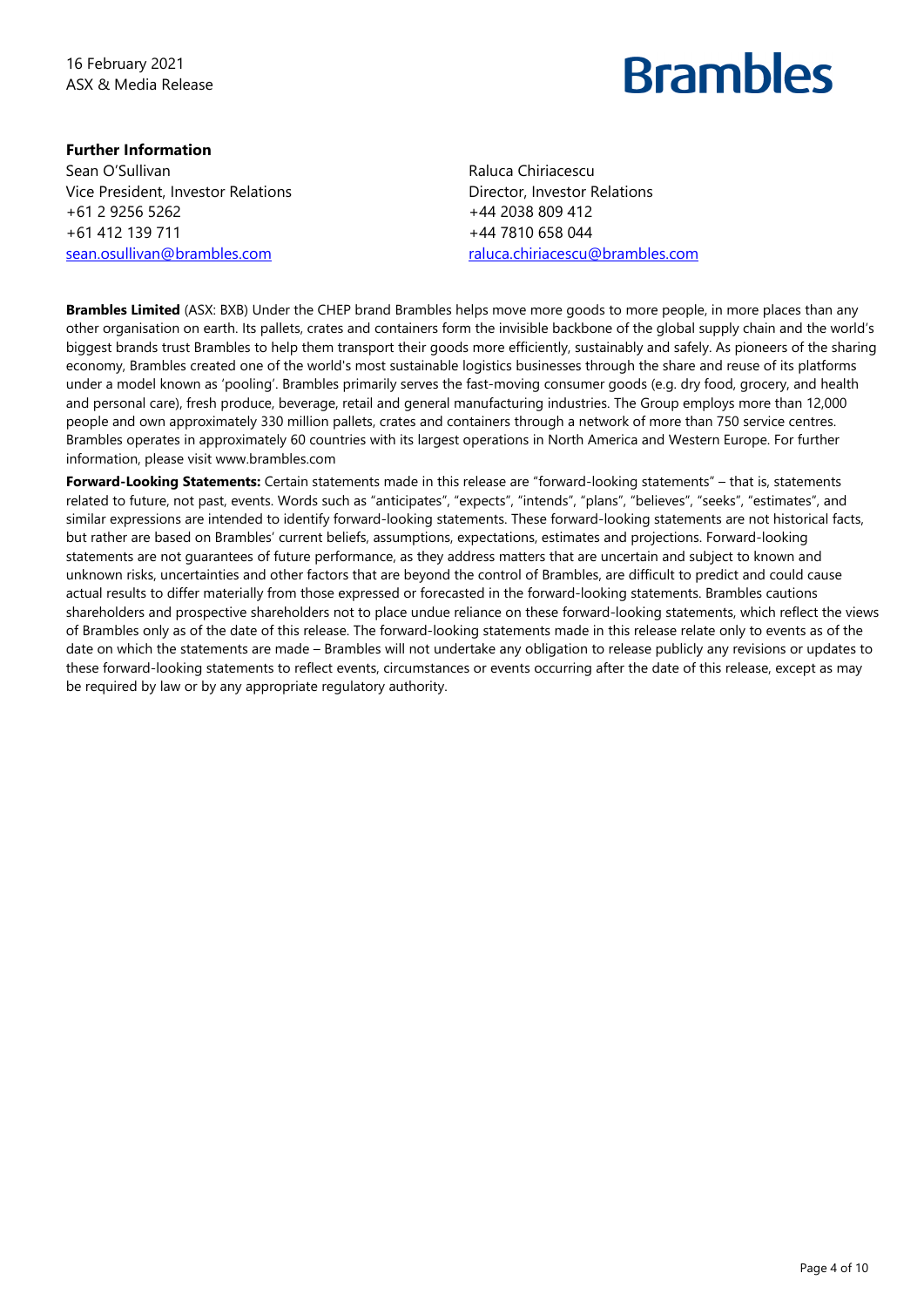16 February 2021 ASX & Media Release

# **Brambles**

## **Further Information**

Sean O'Sullivan Vice President, Investor Relations +61 2 9256 5262 +61 412 139 711 sean.osullivan@brambles.com

Raluca Chiriacescu Director, Investor Relations +44 2038 809 412 +44 7810 658 044 raluca.chiriacescu@brambles.com

**Brambles Limited** (ASX: BXB) Under the CHEP brand Brambles helps move more goods to more people, in more places than any other organisation on earth. Its pallets, crates and containers form the invisible backbone of the global supply chain and the world's biggest brands trust Brambles to help them transport their goods more efficiently, sustainably and safely. As pioneers of the sharing economy, Brambles created one of the world's most sustainable logistics businesses through the share and reuse of its platforms under a model known as 'pooling'. Brambles primarily serves the fast-moving consumer goods (e.g. dry food, grocery, and health and personal care), fresh produce, beverage, retail and general manufacturing industries. The Group employs more than 12,000 people and own approximately 330 million pallets, crates and containers through a network of more than 750 service centres. Brambles operates in approximately 60 countries with its largest operations in North America and Western Europe. For further information, please visit www.brambles.com

**Forward-Looking Statements:** Certain statements made in this release are "forward-looking statements" – that is, statements related to future, not past, events. Words such as "anticipates", "expects", "intends", "plans", "believes", "seeks", "estimates", and similar expressions are intended to identify forward-looking statements. These forward-looking statements are not historical facts, but rather are based on Brambles' current beliefs, assumptions, expectations, estimates and projections. Forward-looking statements are not guarantees of future performance, as they address matters that are uncertain and subject to known and unknown risks, uncertainties and other factors that are beyond the control of Brambles, are difficult to predict and could cause actual results to differ materially from those expressed or forecasted in the forward-looking statements. Brambles cautions shareholders and prospective shareholders not to place undue reliance on these forward-looking statements, which reflect the views of Brambles only as of the date of this release. The forward-looking statements made in this release relate only to events as of the date on which the statements are made – Brambles will not undertake any obligation to release publicly any revisions or updates to these forward-looking statements to reflect events, circumstances or events occurring after the date of this release, except as may be required by law or by any appropriate regulatory authority.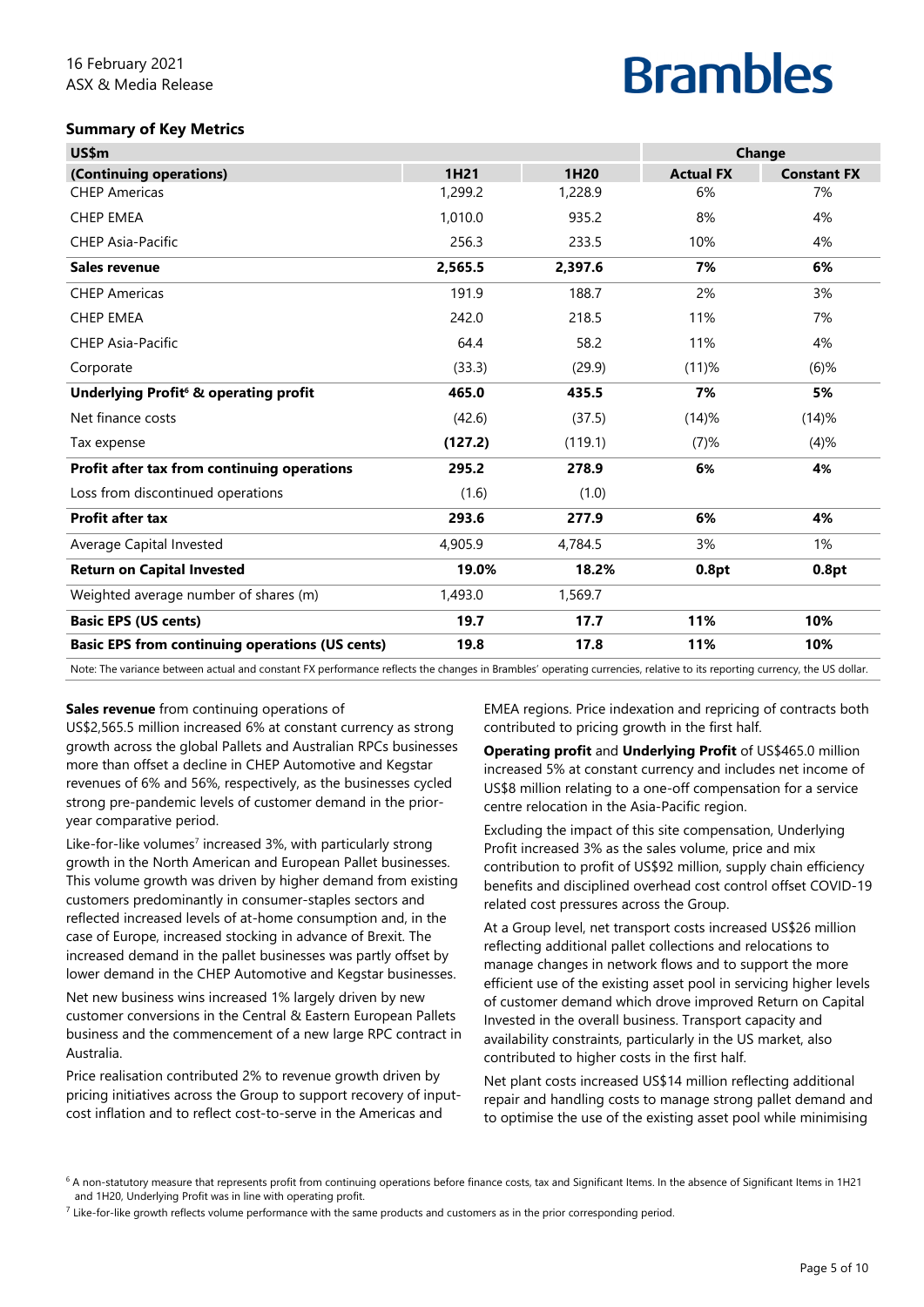#### **Summary of Key Metrics**

| US\$m                                                  |         |         |                  | Change             |
|--------------------------------------------------------|---------|---------|------------------|--------------------|
| (Continuing operations)                                | 1H21    | 1H20    | <b>Actual FX</b> | <b>Constant FX</b> |
| <b>CHEP Americas</b>                                   | 1,299.2 | 1,228.9 | 6%               | 7%                 |
| <b>CHEP EMEA</b>                                       | 1,010.0 | 935.2   | 8%               | 4%                 |
| <b>CHEP Asia-Pacific</b>                               | 256.3   | 233.5   | 10%              | 4%                 |
| Sales revenue                                          | 2,565.5 | 2,397.6 | 7%               | 6%                 |
| <b>CHEP Americas</b>                                   | 191.9   | 188.7   | 2%               | 3%                 |
| <b>CHEP EMEA</b>                                       | 242.0   | 218.5   | 11%              | 7%                 |
| <b>CHEP Asia-Pacific</b>                               | 64.4    | 58.2    | 11%              | 4%                 |
| Corporate                                              | (33.3)  | (29.9)  | (11)%            | $(6)$ %            |
| Underlying Profit <sup>6</sup> & operating profit      | 465.0   | 435.5   | 7%               | 5%                 |
| Net finance costs                                      | (42.6)  | (37.5)  | (14)%            | (14)%              |
| Tax expense                                            | (127.2) | (119.1) | (7)%             | (4)%               |
| Profit after tax from continuing operations            | 295.2   | 278.9   | 6%               | 4%                 |
| Loss from discontinued operations                      | (1.6)   | (1.0)   |                  |                    |
| <b>Profit after tax</b>                                | 293.6   | 277.9   | 6%               | 4%                 |
| Average Capital Invested                               | 4,905.9 | 4,784.5 | 3%               | 1%                 |
| <b>Return on Capital Invested</b>                      | 19.0%   | 18.2%   | 0.8pt            | 0.8pt              |
| Weighted average number of shares (m)                  | 1,493.0 | 1,569.7 |                  |                    |
| <b>Basic EPS (US cents)</b>                            | 19.7    | 17.7    | 11%              | 10%                |
| <b>Basic EPS from continuing operations (US cents)</b> | 19.8    | 17.8    | 11%              | 10%                |

Note: The variance between actual and constant FX performance reflects the changes in Brambles' operating currencies, relative to its reporting currency, the US dollar.

#### **Sales revenue** from continuing operations of

US\$2,565.5 million increased 6% at constant currency as strong growth across the global Pallets and Australian RPCs businesses more than offset a decline in CHEP Automotive and Kegstar revenues of 6% and 56%, respectively, as the businesses cycled strong pre-pandemic levels of customer demand in the prioryear comparative period.

Like-for-like volumes<sup>7</sup> increased 3%, with particularly strong growth in the North American and European Pallet businesses. This volume growth was driven by higher demand from existing customers predominantly in consumer-staples sectors and reflected increased levels of at-home consumption and, in the case of Europe, increased stocking in advance of Brexit. The increased demand in the pallet businesses was partly offset by lower demand in the CHEP Automotive and Kegstar businesses.

Net new business wins increased 1% largely driven by new customer conversions in the Central & Eastern European Pallets business and the commencement of a new large RPC contract in Australia.

Price realisation contributed 2% to revenue growth driven by pricing initiatives across the Group to support recovery of inputcost inflation and to reflect cost-to-serve in the Americas and

EMEA regions. Price indexation and repricing of contracts both contributed to pricing growth in the first half.

**Operating profit** and **Underlying Profit** of US\$465.0 million increased 5% at constant currency and includes net income of US\$8 million relating to a one-off compensation for a service centre relocation in the Asia-Pacific region.

Excluding the impact of this site compensation, Underlying Profit increased 3% as the sales volume, price and mix contribution to profit of US\$92 million, supply chain efficiency benefits and disciplined overhead cost control offset COVID-19 related cost pressures across the Group.

At a Group level, net transport costs increased US\$26 million reflecting additional pallet collections and relocations to manage changes in network flows and to support the more efficient use of the existing asset pool in servicing higher levels of customer demand which drove improved Return on Capital Invested in the overall business. Transport capacity and availability constraints, particularly in the US market, also contributed to higher costs in the first half.

Net plant costs increased US\$14 million reflecting additional repair and handling costs to manage strong pallet demand and to optimise the use of the existing asset pool while minimising

<sup>&</sup>lt;sup>6</sup> A non-statutory measure that represents profit from continuing operations before finance costs, tax and Significant Items. In the absence of Significant Items in 1H21 and 1H20, Underlying Profit was in line with operating profit.

 $^7$  Like-for-like growth reflects volume performance with the same products and customers as in the prior corresponding period.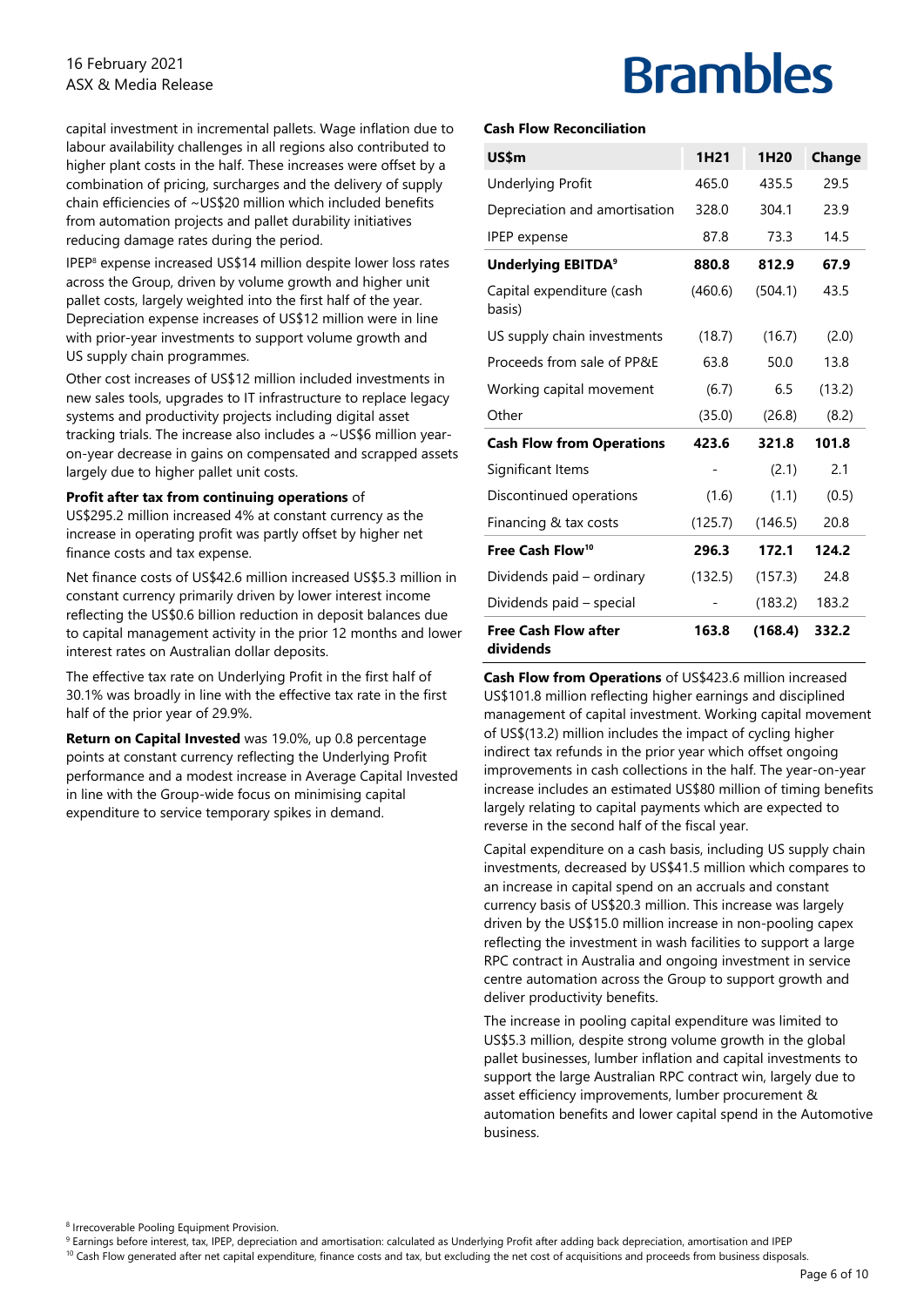### 16 February 2021 ASX & Media Release

capital investment in incremental pallets. Wage inflation due to labour availability challenges in all regions also contributed to higher plant costs in the half. These increases were offset by a combination of pricing, surcharges and the delivery of supply chain efficiencies of ~US\$20 million which included benefits from automation projects and pallet durability initiatives reducing damage rates during the period.

IPEP8 expense increased US\$14 million despite lower loss rates across the Group, driven by volume growth and higher unit pallet costs, largely weighted into the first half of the year. Depreciation expense increases of US\$12 million were in line with prior-year investments to support volume growth and US supply chain programmes.

Other cost increases of US\$12 million included investments in new sales tools, upgrades to IT infrastructure to replace legacy systems and productivity projects including digital asset tracking trials. The increase also includes a ~US\$6 million yearon-year decrease in gains on compensated and scrapped assets largely due to higher pallet unit costs.

#### **Profit after tax from continuing operations** of

US\$295.2 million increased 4% at constant currency as the increase in operating profit was partly offset by higher net finance costs and tax expense.

Net finance costs of US\$42.6 million increased US\$5.3 million in constant currency primarily driven by lower interest income reflecting the US\$0.6 billion reduction in deposit balances due to capital management activity in the prior 12 months and lower interest rates on Australian dollar deposits.

The effective tax rate on Underlying Profit in the first half of 30.1% was broadly in line with the effective tax rate in the first half of the prior year of 29.9%.

**Return on Capital Invested** was 19.0%, up 0.8 percentage points at constant currency reflecting the Underlying Profit performance and a modest increase in Average Capital Invested in line with the Group-wide focus on minimising capital expenditure to service temporary spikes in demand.

# **Brambles**

#### **Cash Flow Reconciliation**

| US\$m                                    | 1H <sub>21</sub> | 1H <sub>20</sub> | Change |
|------------------------------------------|------------------|------------------|--------|
| <b>Underlying Profit</b>                 | 465.0            | 435.5            | 29.5   |
| Depreciation and amortisation            | 328.0            | 304.1            | 23.9   |
| <b>IPEP</b> expense                      | 87.8             | 73.3             | 14.5   |
| <b>Underlying EBITDA<sup>9</sup></b>     | 880.8            | 812.9            | 67.9   |
| Capital expenditure (cash<br>basis)      | (460.6)          | (504.1)          | 43.5   |
| US supply chain investments              | (18.7)           | (16.7)           | (2.0)  |
| Proceeds from sale of PP&E               | 63.8             | 50.0             | 13.8   |
| Working capital movement                 | (6.7)            | 6.5              | (13.2) |
| Other                                    | (35.0)           | (26.8)           | (8.2)  |
| <b>Cash Flow from Operations</b>         | 423.6            | 321.8            | 101.8  |
| Significant Items                        |                  | (2.1)            | 2.1    |
| Discontinued operations                  | (1.6)            | (1.1)            | (0.5)  |
| Financing & tax costs                    | (125.7)          | (146.5)          | 20.8   |
| Free Cash Flow <sup>10</sup>             | 296.3            | 172.1            | 124.2  |
| Dividends paid - ordinary                | (132.5)          | (157.3)          | 24.8   |
| Dividends paid - special                 |                  | (183.2)          | 183.2  |
| <b>Free Cash Flow after</b><br>dividends | 163.8            | (168.4)          | 332.2  |

**Cash Flow from Operations** of US\$423.6 million increased US\$101.8 million reflecting higher earnings and disciplined management of capital investment. Working capital movement of US\$(13.2) million includes the impact of cycling higher indirect tax refunds in the prior year which offset ongoing improvements in cash collections in the half. The year-on-year increase includes an estimated US\$80 million of timing benefits largely relating to capital payments which are expected to reverse in the second half of the fiscal year.

Capital expenditure on a cash basis, including US supply chain investments, decreased by US\$41.5 million which compares to an increase in capital spend on an accruals and constant currency basis of US\$20.3 million. This increase was largely driven by the US\$15.0 million increase in non-pooling capex reflecting the investment in wash facilities to support a large RPC contract in Australia and ongoing investment in service centre automation across the Group to support growth and deliver productivity benefits.

The increase in pooling capital expenditure was limited to US\$5.3 million, despite strong volume growth in the global pallet businesses, lumber inflation and capital investments to support the large Australian RPC contract win, largely due to asset efficiency improvements, lumber procurement & automation benefits and lower capital spend in the Automotive business.

8 Irrecoverable Pooling Equipment Provision.

<sup>9</sup> Earnings before interest, tax, IPEP, depreciation and amortisation: calculated as Underlying Profit after adding back depreciation, amortisation and IPEP

<sup>10</sup> Cash Flow generated after net capital expenditure, finance costs and tax, but excluding the net cost of acquisitions and proceeds from business disposals.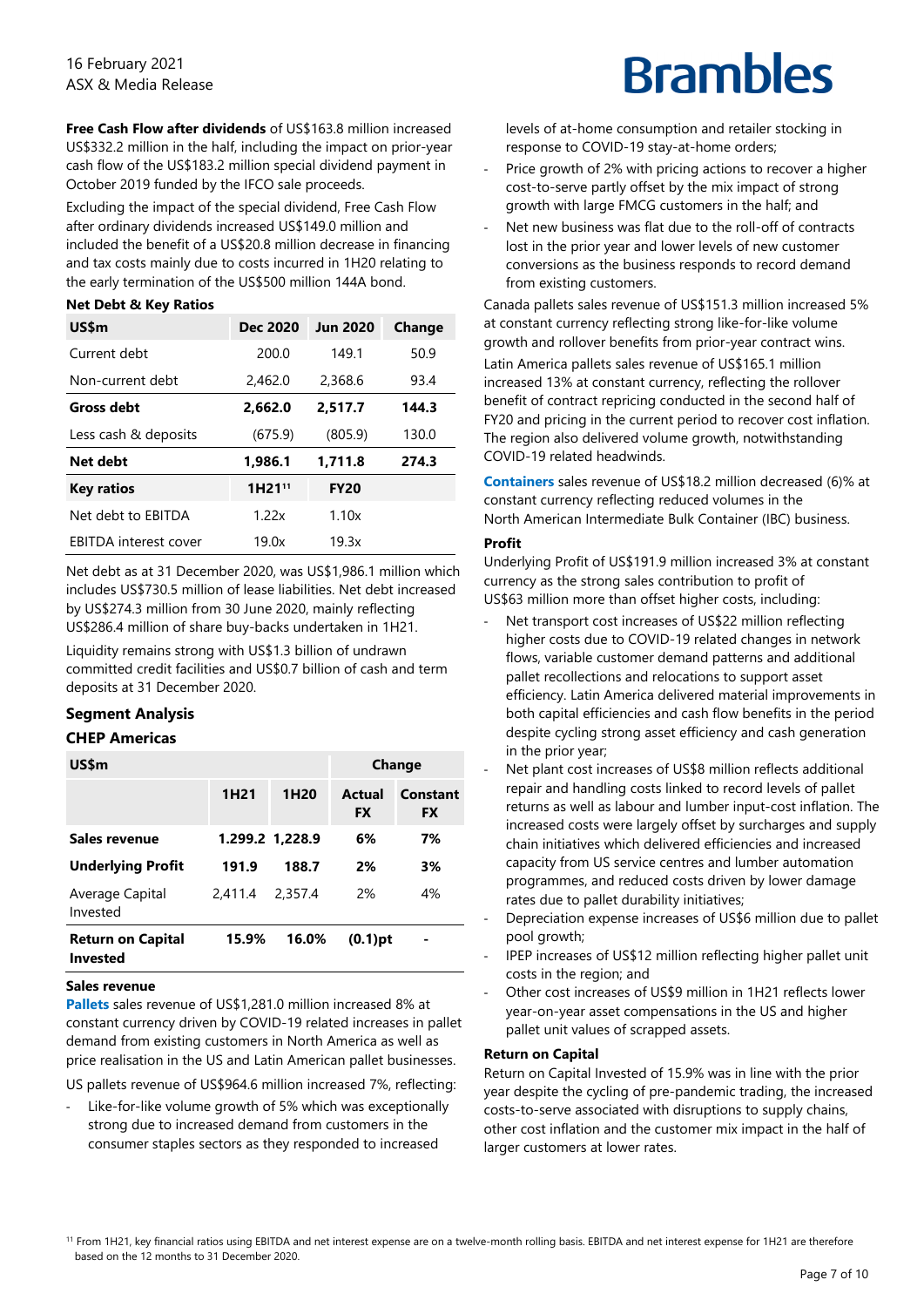**Free Cash Flow after dividends** of US\$163.8 million increased US\$332.2 million in the half, including the impact on prior-year cash flow of the US\$183.2 million special dividend payment in October 2019 funded by the IFCO sale proceeds.

Excluding the impact of the special dividend, Free Cash Flow after ordinary dividends increased US\$149.0 million and included the benefit of a US\$20.8 million decrease in financing and tax costs mainly due to costs incurred in 1H20 relating to the early termination of the US\$500 million 144A bond.

#### **Net Debt & Key Ratios**

| US\$m                        | <b>Dec 2020</b>    | <b>Jun 2020</b> | Change |
|------------------------------|--------------------|-----------------|--------|
| Current debt                 | 200.0              | 149.1           | 50.9   |
| Non-current debt             | 2,462.0            | 2,368.6         | 93.4   |
| <b>Gross debt</b>            | 2.662.0            | 2.517.7         | 144.3  |
| Less cash & deposits         | (675.9)            | (805.9)         | 130.0  |
| Net debt                     | 1.986.1            | 1,711.8         | 274.3  |
| <b>Key ratios</b>            | 1H21 <sup>11</sup> | <b>FY20</b>     |        |
| Net debt to EBITDA           | 1.22x              | 1.10x           |        |
| <b>EBITDA</b> interest cover | 19.0x              | 19.3x           |        |

Net debt as at 31 December 2020, was US\$1,986.1 million which includes US\$730.5 million of lease liabilities. Net debt increased by US\$274.3 million from 30 June 2020, mainly reflecting US\$286.4 million of share buy-backs undertaken in 1H21.

Liquidity remains strong with US\$1.3 billion of undrawn committed credit facilities and US\$0.7 billion of cash and term deposits at 31 December 2020.

## **Segment Analysis**

# **CHEP Americas**

| US\$m                                       | Change           |                  |                     |                       |
|---------------------------------------------|------------------|------------------|---------------------|-----------------------|
|                                             | 1H <sub>21</sub> | 1H <sub>20</sub> | Actual<br><b>FX</b> | Constant<br><b>FX</b> |
| Sales revenue                               | 1.299.2 1,228.9  |                  | 6%                  | 7%                    |
| <b>Underlying Profit</b>                    | 191.9            | 188.7            | 2%                  | 3%                    |
| Average Capital<br>Invested                 | 2,411.4          | 2.357.4          | 2%                  | 4%                    |
| <b>Return on Capital</b><br><b>Invested</b> | 15.9%            | 16.0%            | $(0.1)$ pt          |                       |

#### **Sales revenue**

**Pallets** sales revenue of US\$1,281.0 million increased 8% at constant currency driven by COVID-19 related increases in pallet demand from existing customers in North America as well as price realisation in the US and Latin American pallet businesses.

US pallets revenue of US\$964.6 million increased 7%, reflecting:

Like-for-like volume growth of 5% which was exceptionally strong due to increased demand from customers in the consumer staples sectors as they responded to increased

# **Brambles**

levels of at-home consumption and retailer stocking in response to COVID-19 stay-at-home orders;

- ‐ Price growth of 2% with pricing actions to recover a higher cost-to-serve partly offset by the mix impact of strong growth with large FMCG customers in the half; and
- Net new business was flat due to the roll-off of contracts lost in the prior year and lower levels of new customer conversions as the business responds to record demand from existing customers.

Canada pallets sales revenue of US\$151.3 million increased 5% at constant currency reflecting strong like-for-like volume growth and rollover benefits from prior-year contract wins.

Latin America pallets sales revenue of US\$165.1 million increased 13% at constant currency, reflecting the rollover benefit of contract repricing conducted in the second half of FY20 and pricing in the current period to recover cost inflation. The region also delivered volume growth, notwithstanding COVID-19 related headwinds.

**Containers** sales revenue of US\$18.2 million decreased (6)% at constant currency reflecting reduced volumes in the North American Intermediate Bulk Container (IBC) business.

#### **Profit**

Underlying Profit of US\$191.9 million increased 3% at constant currency as the strong sales contribution to profit of US\$63 million more than offset higher costs, including:

- Net transport cost increases of US\$22 million reflecting higher costs due to COVID-19 related changes in network flows, variable customer demand patterns and additional pallet recollections and relocations to support asset efficiency. Latin America delivered material improvements in both capital efficiencies and cash flow benefits in the period despite cycling strong asset efficiency and cash generation in the prior year;
- Net plant cost increases of US\$8 million reflects additional repair and handling costs linked to record levels of pallet returns as well as labour and lumber input-cost inflation. The increased costs were largely offset by surcharges and supply chain initiatives which delivered efficiencies and increased capacity from US service centres and lumber automation programmes, and reduced costs driven by lower damage rates due to pallet durability initiatives;
- ‐ Depreciation expense increases of US\$6 million due to pallet pool growth;
- ‐ IPEP increases of US\$12 million reflecting higher pallet unit costs in the region; and
- Other cost increases of US\$9 million in 1H21 reflects lower year-on-year asset compensations in the US and higher pallet unit values of scrapped assets.

#### **Return on Capital**

Return on Capital Invested of 15.9% was in line with the prior year despite the cycling of pre-pandemic trading, the increased costs-to-serve associated with disruptions to supply chains, other cost inflation and the customer mix impact in the half of larger customers at lower rates.

<sup>11</sup> From 1H21, key financial ratios using EBITDA and net interest expense are on a twelve-month rolling basis. EBITDA and net interest expense for 1H21 are therefore based on the 12 months to 31 December 2020.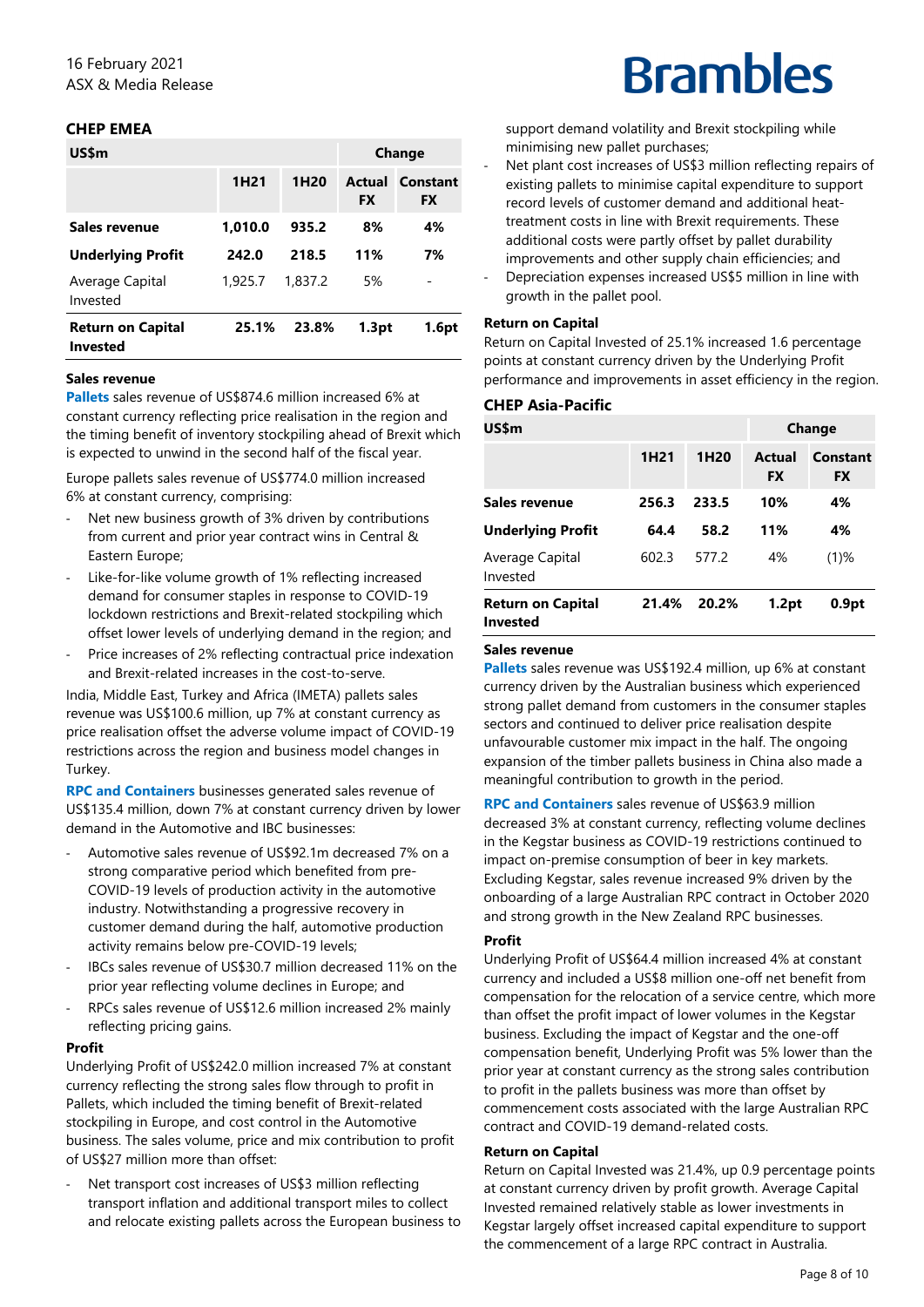## **CHEP EMEA**

| US\$m                                       |                  | Change           |                            |                |
|---------------------------------------------|------------------|------------------|----------------------------|----------------|
|                                             | 1H <sub>21</sub> | 1H <sub>20</sub> | <b>Actual</b><br><b>FX</b> | Constant<br>FX |
| Sales revenue                               | 1,010.0          | 935.2            | 8%                         | 4%             |
| <b>Underlying Profit</b>                    | 242.0            | 218.5            | 11%                        | 7%             |
| Average Capital<br>Invested                 | 1,925.7          | 1.837.2          | 5%                         | -              |
| <b>Return on Capital</b><br><b>Invested</b> | 25.1%            | 23.8%            | 1.3pt                      | 1.6pt          |

#### **Sales revenue**

**Pallets** sales revenue of US\$874.6 million increased 6% at constant currency reflecting price realisation in the region and the timing benefit of inventory stockpiling ahead of Brexit which is expected to unwind in the second half of the fiscal year.

Europe pallets sales revenue of US\$774.0 million increased 6% at constant currency, comprising:

- Net new business growth of 3% driven by contributions from current and prior year contract wins in Central & Eastern Europe;
- Like-for-like volume growth of 1% reflecting increased demand for consumer staples in response to COVID-19 lockdown restrictions and Brexit-related stockpiling which offset lower levels of underlying demand in the region; and
- Price increases of 2% reflecting contractual price indexation and Brexit-related increases in the cost-to-serve.

India, Middle East, Turkey and Africa (IMETA) pallets sales revenue was US\$100.6 million, up 7% at constant currency as price realisation offset the adverse volume impact of COVID-19 restrictions across the region and business model changes in Turkey.

**RPC and Containers** businesses generated sales revenue of US\$135.4 million, down 7% at constant currency driven by lower demand in the Automotive and IBC businesses:

- ‐ Automotive sales revenue of US\$92.1m decreased 7% on a strong comparative period which benefited from pre-COVID-19 levels of production activity in the automotive industry. Notwithstanding a progressive recovery in customer demand during the half, automotive production activity remains below pre-COVID-19 levels;
- ‐ IBCs sales revenue of US\$30.7 million decreased 11% on the prior year reflecting volume declines in Europe; and
- ‐ RPCs sales revenue of US\$12.6 million increased 2% mainly reflecting pricing gains.

#### **Profit**

Underlying Profit of US\$242.0 million increased 7% at constant currency reflecting the strong sales flow through to profit in Pallets, which included the timing benefit of Brexit-related stockpiling in Europe, and cost control in the Automotive business. The sales volume, price and mix contribution to profit of US\$27 million more than offset:

Net transport cost increases of US\$3 million reflecting transport inflation and additional transport miles to collect and relocate existing pallets across the European business to

# **Brambles**

support demand volatility and Brexit stockpiling while minimising new pallet purchases;

- Net plant cost increases of US\$3 million reflecting repairs of existing pallets to minimise capital expenditure to support record levels of customer demand and additional heattreatment costs in line with Brexit requirements. These additional costs were partly offset by pallet durability improvements and other supply chain efficiencies; and
- ‐ Depreciation expenses increased US\$5 million in line with growth in the pallet pool.

#### **Return on Capital**

Return on Capital Invested of 25.1% increased 1.6 percentage points at constant currency driven by the Underlying Profit performance and improvements in asset efficiency in the region.

#### **CHEP Asia-Pacific**

| US\$m                                       |                  |                  | Change       |                       |  |
|---------------------------------------------|------------------|------------------|--------------|-----------------------|--|
|                                             | 1H <sub>21</sub> | 1H <sub>20</sub> | Actual<br>FX | Constant<br><b>FX</b> |  |
| Sales revenue                               | 256.3            | 233.5            | 10%          | 4%                    |  |
| <b>Underlying Profit</b>                    | 64.4             | 58.2             | 11%          | 4%                    |  |
| Average Capital<br>Invested                 | 602.3            | 577.2            | 4%           | $(1)$ %               |  |
| <b>Return on Capital</b><br><b>Invested</b> | 21.4%            | 20.2%            | 1.2pt        | 0.9 <sub>pt</sub>     |  |

#### **Sales revenue**

**Pallets** sales revenue was US\$192.4 million, up 6% at constant currency driven by the Australian business which experienced strong pallet demand from customers in the consumer staples sectors and continued to deliver price realisation despite unfavourable customer mix impact in the half. The ongoing expansion of the timber pallets business in China also made a meaningful contribution to growth in the period.

**RPC and Containers** sales revenue of US\$63.9 million decreased 3% at constant currency, reflecting volume declines in the Kegstar business as COVID-19 restrictions continued to impact on-premise consumption of beer in key markets. Excluding Kegstar, sales revenue increased 9% driven by the onboarding of a large Australian RPC contract in October 2020 and strong growth in the New Zealand RPC businesses.

#### **Profit**

Underlying Profit of US\$64.4 million increased 4% at constant currency and included a US\$8 million one-off net benefit from compensation for the relocation of a service centre, which more than offset the profit impact of lower volumes in the Kegstar business. Excluding the impact of Kegstar and the one-off compensation benefit, Underlying Profit was 5% lower than the prior year at constant currency as the strong sales contribution to profit in the pallets business was more than offset by commencement costs associated with the large Australian RPC contract and COVID-19 demand-related costs.

#### **Return on Capital**

Return on Capital Invested was 21.4%, up 0.9 percentage points at constant currency driven by profit growth. Average Capital Invested remained relatively stable as lower investments in Kegstar largely offset increased capital expenditure to support the commencement of a large RPC contract in Australia.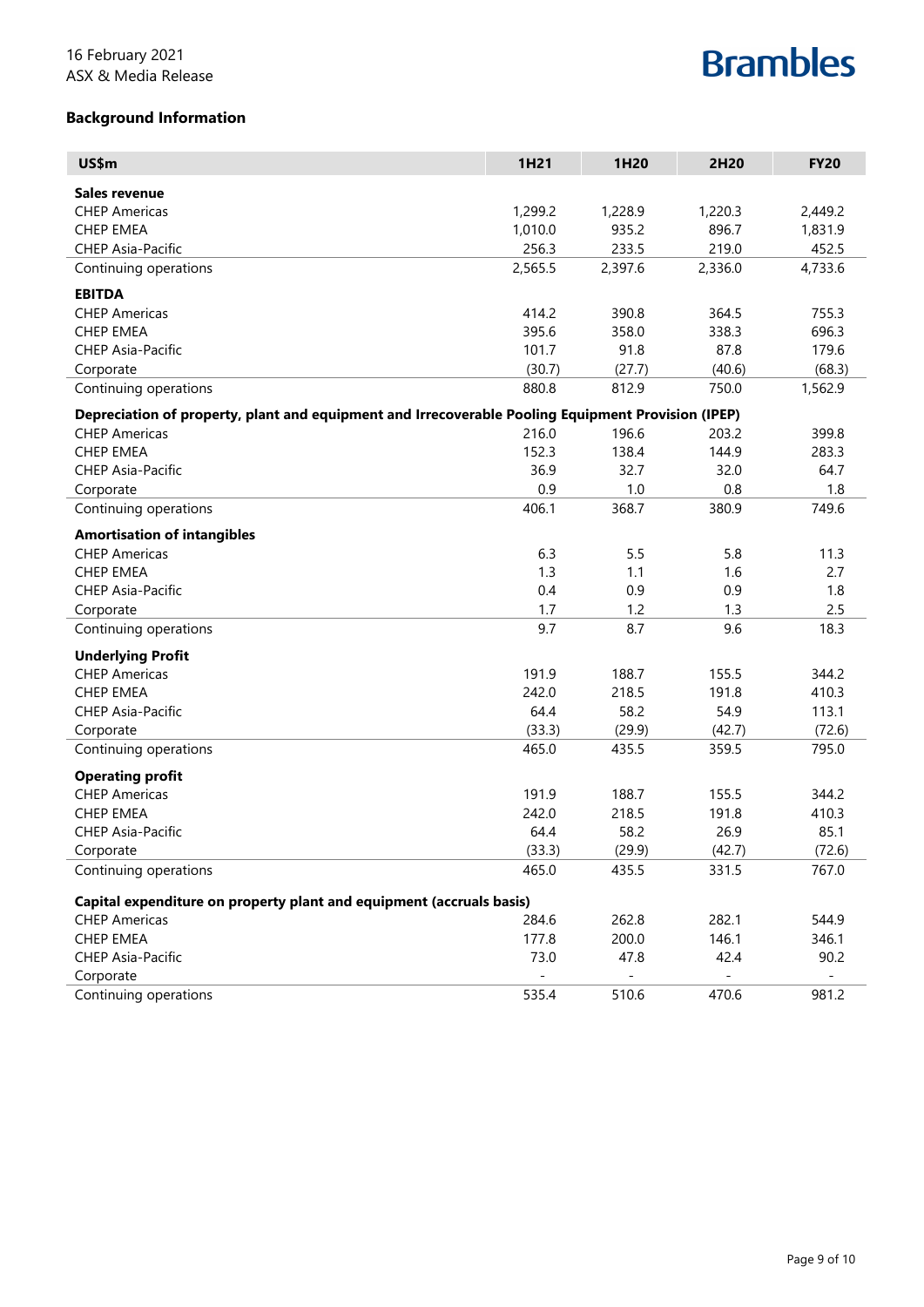# **Background Information**

| US\$m                                                                                              | 1H21    | 1H20    | 2H20    | <b>FY20</b> |
|----------------------------------------------------------------------------------------------------|---------|---------|---------|-------------|
| Sales revenue                                                                                      |         |         |         |             |
| <b>CHEP Americas</b>                                                                               | 1,299.2 | 1,228.9 | 1,220.3 | 2,449.2     |
| <b>CHEP EMEA</b>                                                                                   | 1,010.0 | 935.2   | 896.7   | 1,831.9     |
| <b>CHEP Asia-Pacific</b>                                                                           | 256.3   | 233.5   | 219.0   | 452.5       |
| Continuing operations                                                                              | 2,565.5 | 2,397.6 | 2,336.0 | 4,733.6     |
| <b>EBITDA</b>                                                                                      |         |         |         |             |
| <b>CHEP Americas</b>                                                                               | 414.2   | 390.8   | 364.5   | 755.3       |
| <b>CHEP EMEA</b>                                                                                   | 395.6   | 358.0   | 338.3   | 696.3       |
| <b>CHEP Asia-Pacific</b>                                                                           | 101.7   | 91.8    | 87.8    | 179.6       |
| Corporate                                                                                          | (30.7)  | (27.7)  | (40.6)  | (68.3)      |
| Continuing operations                                                                              | 880.8   | 812.9   | 750.0   | 1,562.9     |
| Depreciation of property, plant and equipment and Irrecoverable Pooling Equipment Provision (IPEP) |         |         |         |             |
| <b>CHEP Americas</b>                                                                               | 216.0   | 196.6   | 203.2   | 399.8       |
| <b>CHEP EMEA</b>                                                                                   | 152.3   | 138.4   | 144.9   | 283.3       |
| <b>CHEP Asia-Pacific</b>                                                                           | 36.9    | 32.7    | 32.0    | 64.7        |
| Corporate                                                                                          | 0.9     | 1.0     | 0.8     | 1.8         |
| Continuing operations                                                                              | 406.1   | 368.7   | 380.9   | 749.6       |
| <b>Amortisation of intangibles</b>                                                                 |         |         |         |             |
| <b>CHEP Americas</b>                                                                               | 6.3     | 5.5     | 5.8     | 11.3        |
| <b>CHEP EMEA</b>                                                                                   | 1.3     | 1.1     | 1.6     | 2.7         |
| <b>CHEP Asia-Pacific</b>                                                                           | 0.4     | 0.9     | 0.9     | 1.8         |
| Corporate                                                                                          | 1.7     | 1.2     | 1.3     | 2.5         |
| Continuing operations                                                                              | 9.7     | 8.7     | 9.6     | 18.3        |
| <b>Underlying Profit</b>                                                                           |         |         |         |             |
| <b>CHEP Americas</b>                                                                               | 191.9   | 188.7   | 155.5   | 344.2       |
| <b>CHEP EMEA</b>                                                                                   | 242.0   | 218.5   | 191.8   | 410.3       |
| <b>CHEP Asia-Pacific</b>                                                                           | 64.4    | 58.2    | 54.9    | 113.1       |
| Corporate                                                                                          | (33.3)  | (29.9)  | (42.7)  | (72.6)      |
| Continuing operations                                                                              | 465.0   | 435.5   | 359.5   | 795.0       |
| <b>Operating profit</b>                                                                            |         |         |         |             |
| <b>CHEP Americas</b>                                                                               | 191.9   | 188.7   | 155.5   | 344.2       |
| <b>CHEP EMEA</b>                                                                                   | 242.0   | 218.5   | 191.8   | 410.3       |
| <b>CHEP Asia-Pacific</b>                                                                           | 64.4    | 58.2    | 26.9    | 85.1        |
| Corporate                                                                                          | (33.3)  | (29.9)  | (42.7)  | (72.6)      |
| Continuing operations                                                                              | 465.0   | 435.5   | 331.5   | 767.0       |
| Capital expenditure on property plant and equipment (accruals basis)                               |         |         |         |             |
| <b>CHEP Americas</b>                                                                               | 284.6   | 262.8   | 282.1   | 544.9       |
| <b>CHEP EMEA</b>                                                                                   | 177.8   | 200.0   | 146.1   | 346.1       |
| CHEP Asia-Pacific                                                                                  | 73.0    | 47.8    | 42.4    | 90.2        |
| Corporate                                                                                          |         |         |         |             |
| Continuing operations                                                                              | 535.4   | 510.6   | 470.6   | 981.2       |